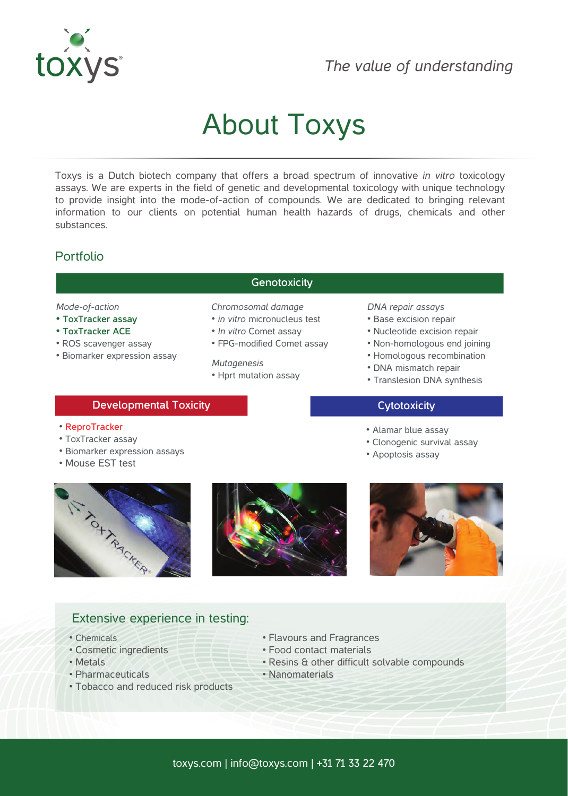

## *The value of understanding*

# About Toxys

Toxys is a Dutch biotech company that offers a broad spectrum of innovative *in vitro* toxicology assays. We are experts in the field of genetic and developmental toxicology with unique technology to provide insight into the mode-of-action of compounds. We are dedicated to bringing relevant information to our clients on potential human health hazards of drugs, chemicals and other substances.

### Portfolio

#### *Mode-of-action*

- **ToxTracker assay**
- **ToxTracker ACE**
- ROS scavenger assay
- Biomarker expression assay

#### **Genotoxicity**

*Chromosomal damage*

- *in vitro* micronucleus test
- *In vitro* Comet assay
- FPG-modified Comet assay
- *Mutagenesis* • Hprt mutation assay

#### *DNA repair assays*

- Base excision repair
- Nucleotide excision repair
- Non-homologous end joining
- Homologous recombination
- DNA mismatch repair

• Alamar blue assay

• Apoptosis assay

• Translesion DNA synthesis

• Clonogenic survival assay

#### **Developmental Toxicity Cytotoxicity Cytotoxicity**

#### • **ReproTracker**

- ToxTracker assay
- Biomarker expression assays
- Mouse EST test

ATT TONEWAY





#### Extensive experience in testing:

- Chemicals
- Cosmetic ingredients
- Metals
- Pharmaceuticals
- Tobacco and reduced risk products
- Flavours and Fragrances
- Food contact materials
- Resins & other difficult solvable compounds
- Nanomaterials
- toxys.com | info@toxys.com | +31 71 33 22 470